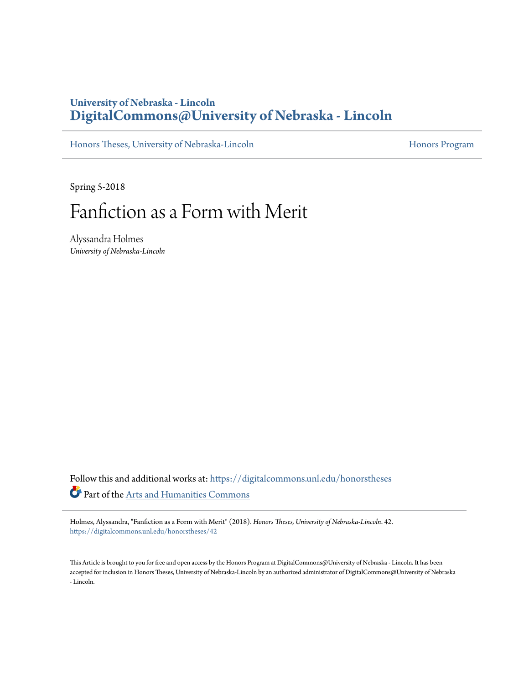## **University of Nebraska - Lincoln [DigitalCommons@University of Nebraska - Lincoln](https://digitalcommons.unl.edu?utm_source=digitalcommons.unl.edu%2Fhonorstheses%2F42&utm_medium=PDF&utm_campaign=PDFCoverPages)**

[Honors Theses, University of Nebraska-Lincoln](https://digitalcommons.unl.edu/honorstheses?utm_source=digitalcommons.unl.edu%2Fhonorstheses%2F42&utm_medium=PDF&utm_campaign=PDFCoverPages) [Honors Program](https://digitalcommons.unl.edu/honorsprogram?utm_source=digitalcommons.unl.edu%2Fhonorstheses%2F42&utm_medium=PDF&utm_campaign=PDFCoverPages) Honors Program

Spring 5-2018

# Fanfiction as a Form with Merit

Alyssandra Holmes *University of Nebraska-Lincoln*

Follow this and additional works at: [https://digitalcommons.unl.edu/honorstheses](https://digitalcommons.unl.edu/honorstheses?utm_source=digitalcommons.unl.edu%2Fhonorstheses%2F42&utm_medium=PDF&utm_campaign=PDFCoverPages) Part of the [Arts and Humanities Commons](http://network.bepress.com/hgg/discipline/438?utm_source=digitalcommons.unl.edu%2Fhonorstheses%2F42&utm_medium=PDF&utm_campaign=PDFCoverPages)

Holmes, Alyssandra, "Fanfiction as a Form with Merit" (2018). *Honors Theses, University of Nebraska-Lincoln*. 42. [https://digitalcommons.unl.edu/honorstheses/42](https://digitalcommons.unl.edu/honorstheses/42?utm_source=digitalcommons.unl.edu%2Fhonorstheses%2F42&utm_medium=PDF&utm_campaign=PDFCoverPages)

This Article is brought to you for free and open access by the Honors Program at DigitalCommons@University of Nebraska - Lincoln. It has been accepted for inclusion in Honors Theses, University of Nebraska-Lincoln by an authorized administrator of DigitalCommons@University of Nebraska - Lincoln.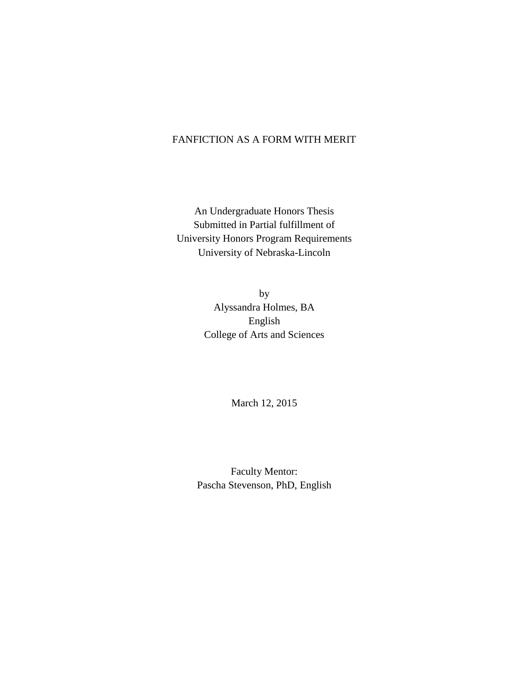## FANFICTION AS A FORM WITH MERIT

An Undergraduate Honors Thesis Submitted in Partial fulfillment of University Honors Program Requirements University of Nebraska-Lincoln

> by Alyssandra Holmes, BA English College of Arts and Sciences

> > March 12, 2015

Faculty Mentor: Pascha Stevenson, PhD, English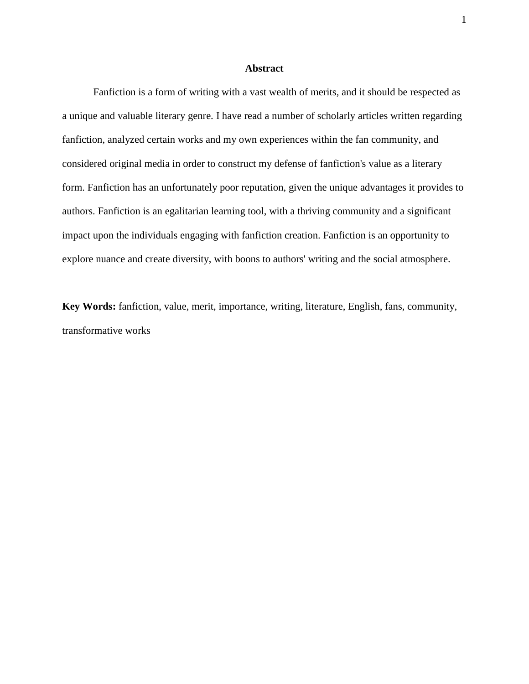### **Abstract**

Fanfiction is a form of writing with a vast wealth of merits, and it should be respected as a unique and valuable literary genre. I have read a number of scholarly articles written regarding fanfiction, analyzed certain works and my own experiences within the fan community, and considered original media in order to construct my defense of fanfiction's value as a literary form. Fanfiction has an unfortunately poor reputation, given the unique advantages it provides to authors. Fanfiction is an egalitarian learning tool, with a thriving community and a significant impact upon the individuals engaging with fanfiction creation. Fanfiction is an opportunity to explore nuance and create diversity, with boons to authors' writing and the social atmosphere.

**Key Words:** fanfiction, value, merit, importance, writing, literature, English, fans, community, transformative works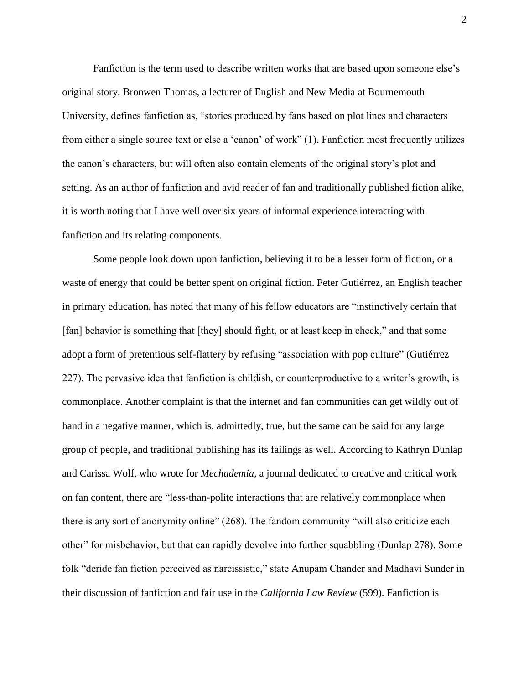Fanfiction is the term used to describe written works that are based upon someone else's original story. Bronwen Thomas, a lecturer of English and New Media at Bournemouth University, defines fanfiction as, "stories produced by fans based on plot lines and characters from either a single source text or else a 'canon' of work" (1). Fanfiction most frequently utilizes the canon's characters, but will often also contain elements of the original story's plot and setting. As an author of fanfiction and avid reader of fan and traditionally published fiction alike, it is worth noting that I have well over six years of informal experience interacting with fanfiction and its relating components.

Some people look down upon fanfiction, believing it to be a lesser form of fiction, or a waste of energy that could be better spent on original fiction. Peter Gutiérrez, an English teacher in primary education, has noted that many of his fellow educators are "instinctively certain that [fan] behavior is something that [they] should fight, or at least keep in check," and that some adopt a form of pretentious self-flattery by refusing "association with pop culture" (Gutiérrez 227). The pervasive idea that fanfiction is childish, or counterproductive to a writer's growth, is commonplace. Another complaint is that the internet and fan communities can get wildly out of hand in a negative manner, which is, admittedly, true, but the same can be said for any large group of people, and traditional publishing has its failings as well. According to Kathryn Dunlap and Carissa Wolf, who wrote for *Mechademia*, a journal dedicated to creative and critical work on fan content, there are "less-than-polite interactions that are relatively commonplace when there is any sort of anonymity online" (268). The fandom community "will also criticize each other" for misbehavior, but that can rapidly devolve into further squabbling (Dunlap 278). Some folk "deride fan fiction perceived as narcissistic," state Anupam Chander and Madhavi Sunder in their discussion of fanfiction and fair use in the *California Law Review* (599). Fanfiction is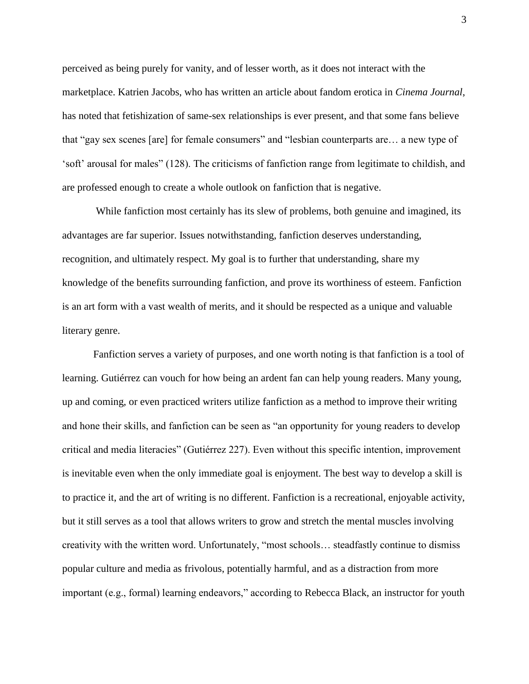perceived as being purely for vanity, and of lesser worth, as it does not interact with the marketplace. Katrien Jacobs, who has written an article about fandom erotica in *Cinema Journal*, has noted that fetishization of same-sex relationships is ever present, and that some fans believe that "gay sex scenes [are] for female consumers" and "lesbian counterparts are… a new type of 'soft' arousal for males" (128). The criticisms of fanfiction range from legitimate to childish, and are professed enough to create a whole outlook on fanfiction that is negative.

While fanfiction most certainly has its slew of problems, both genuine and imagined, its advantages are far superior. Issues notwithstanding, fanfiction deserves understanding, recognition, and ultimately respect. My goal is to further that understanding, share my knowledge of the benefits surrounding fanfiction, and prove its worthiness of esteem. Fanfiction is an art form with a vast wealth of merits, and it should be respected as a unique and valuable literary genre.

Fanfiction serves a variety of purposes, and one worth noting is that fanfiction is a tool of learning. Gutiérrez can vouch for how being an ardent fan can help young readers. Many young, up and coming, or even practiced writers utilize fanfiction as a method to improve their writing and hone their skills, and fanfiction can be seen as "an opportunity for young readers to develop critical and media literacies" (Gutiérrez 227). Even without this specific intention, improvement is inevitable even when the only immediate goal is enjoyment. The best way to develop a skill is to practice it, and the art of writing is no different. Fanfiction is a recreational, enjoyable activity, but it still serves as a tool that allows writers to grow and stretch the mental muscles involving creativity with the written word. Unfortunately, "most schools… steadfastly continue to dismiss popular culture and media as frivolous, potentially harmful, and as a distraction from more important (e.g., formal) learning endeavors," according to Rebecca Black, an instructor for youth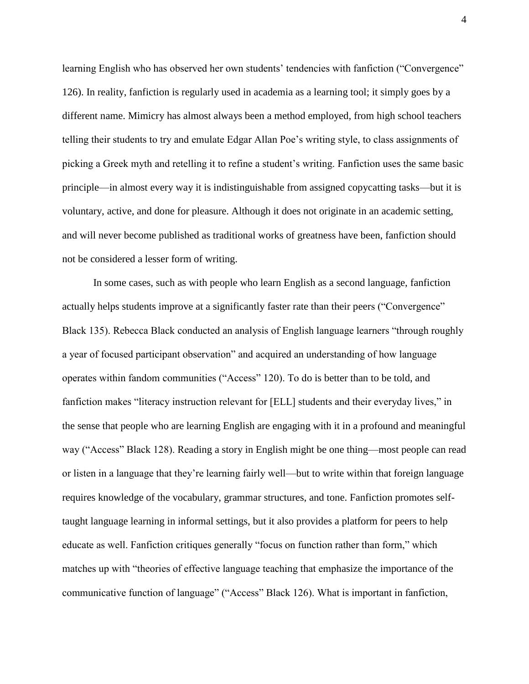learning English who has observed her own students' tendencies with fanfiction ("Convergence" 126). In reality, fanfiction is regularly used in academia as a learning tool; it simply goes by a different name. Mimicry has almost always been a method employed, from high school teachers telling their students to try and emulate Edgar Allan Poe's writing style, to class assignments of picking a Greek myth and retelling it to refine a student's writing. Fanfiction uses the same basic principle—in almost every way it is indistinguishable from assigned copycatting tasks—but it is voluntary, active, and done for pleasure. Although it does not originate in an academic setting, and will never become published as traditional works of greatness have been, fanfiction should not be considered a lesser form of writing.

In some cases, such as with people who learn English as a second language, fanfiction actually helps students improve at a significantly faster rate than their peers ("Convergence" Black 135). Rebecca Black conducted an analysis of English language learners "through roughly a year of focused participant observation" and acquired an understanding of how language operates within fandom communities ("Access" 120). To do is better than to be told, and fanfiction makes "literacy instruction relevant for [ELL] students and their everyday lives," in the sense that people who are learning English are engaging with it in a profound and meaningful way ("Access" Black 128). Reading a story in English might be one thing—most people can read or listen in a language that they're learning fairly well—but to write within that foreign language requires knowledge of the vocabulary, grammar structures, and tone. Fanfiction promotes selftaught language learning in informal settings, but it also provides a platform for peers to help educate as well. Fanfiction critiques generally "focus on function rather than form," which matches up with "theories of effective language teaching that emphasize the importance of the communicative function of language" ("Access" Black 126). What is important in fanfiction,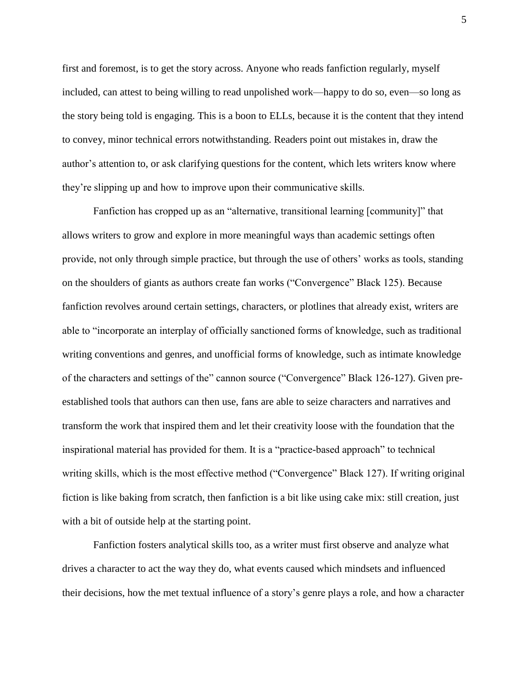first and foremost, is to get the story across. Anyone who reads fanfiction regularly, myself included, can attest to being willing to read unpolished work—happy to do so, even—so long as the story being told is engaging. This is a boon to ELLs, because it is the content that they intend to convey, minor technical errors notwithstanding. Readers point out mistakes in, draw the author's attention to, or ask clarifying questions for the content, which lets writers know where they're slipping up and how to improve upon their communicative skills.

Fanfiction has cropped up as an "alternative, transitional learning [community]" that allows writers to grow and explore in more meaningful ways than academic settings often provide, not only through simple practice, but through the use of others' works as tools, standing on the shoulders of giants as authors create fan works ("Convergence" Black 125). Because fanfiction revolves around certain settings, characters, or plotlines that already exist, writers are able to "incorporate an interplay of officially sanctioned forms of knowledge, such as traditional writing conventions and genres, and unofficial forms of knowledge, such as intimate knowledge of the characters and settings of the" cannon source ("Convergence" Black 126-127). Given preestablished tools that authors can then use, fans are able to seize characters and narratives and transform the work that inspired them and let their creativity loose with the foundation that the inspirational material has provided for them. It is a "practice-based approach" to technical writing skills, which is the most effective method ("Convergence" Black 127). If writing original fiction is like baking from scratch, then fanfiction is a bit like using cake mix: still creation, just with a bit of outside help at the starting point.

Fanfiction fosters analytical skills too, as a writer must first observe and analyze what drives a character to act the way they do, what events caused which mindsets and influenced their decisions, how the met textual influence of a story's genre plays a role, and how a character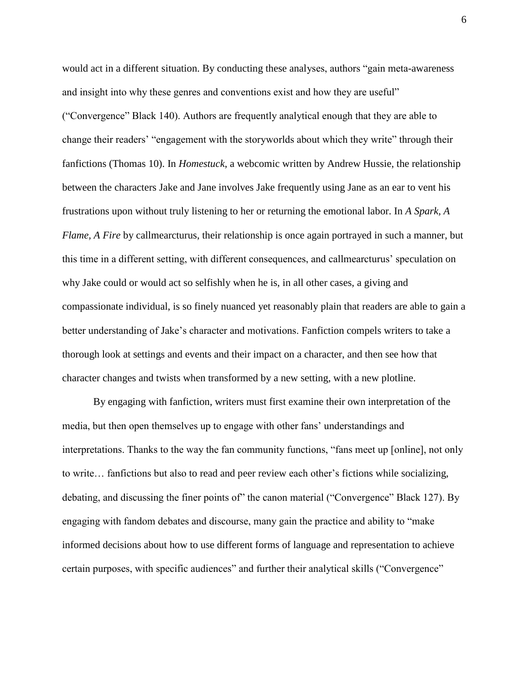would act in a different situation. By conducting these analyses, authors "gain meta-awareness and insight into why these genres and conventions exist and how they are useful" ("Convergence" Black 140). Authors are frequently analytical enough that they are able to change their readers' "engagement with the storyworlds about which they write" through their fanfictions (Thomas 10). In *Homestuck*, a webcomic written by Andrew Hussie, the relationship between the characters Jake and Jane involves Jake frequently using Jane as an ear to vent his frustrations upon without truly listening to her or returning the emotional labor. In *A Spark, A Flame, A Fire* by callmearcturus, their relationship is once again portrayed in such a manner, but this time in a different setting, with different consequences, and callmearcturus' speculation on why Jake could or would act so selfishly when he is, in all other cases, a giving and compassionate individual, is so finely nuanced yet reasonably plain that readers are able to gain a better understanding of Jake's character and motivations. Fanfiction compels writers to take a thorough look at settings and events and their impact on a character, and then see how that character changes and twists when transformed by a new setting, with a new plotline.

By engaging with fanfiction, writers must first examine their own interpretation of the media, but then open themselves up to engage with other fans' understandings and interpretations. Thanks to the way the fan community functions, "fans meet up [online], not only to write… fanfictions but also to read and peer review each other's fictions while socializing, debating, and discussing the finer points of" the canon material ("Convergence" Black 127). By engaging with fandom debates and discourse, many gain the practice and ability to "make informed decisions about how to use different forms of language and representation to achieve certain purposes, with specific audiences" and further their analytical skills ("Convergence"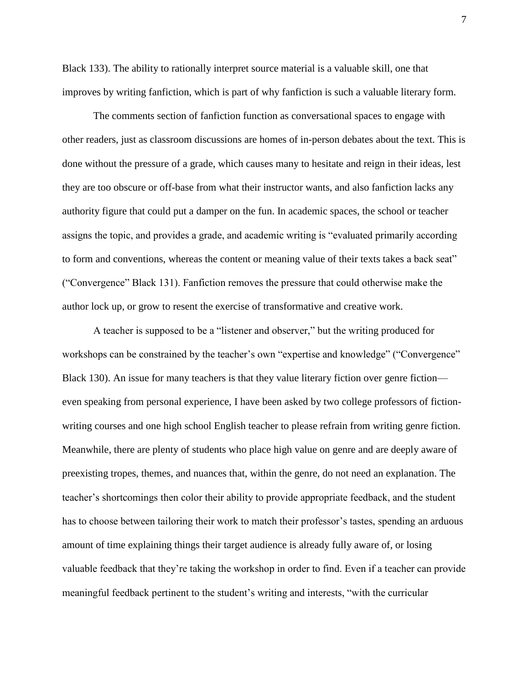Black 133). The ability to rationally interpret source material is a valuable skill, one that improves by writing fanfiction, which is part of why fanfiction is such a valuable literary form.

The comments section of fanfiction function as conversational spaces to engage with other readers, just as classroom discussions are homes of in-person debates about the text. This is done without the pressure of a grade, which causes many to hesitate and reign in their ideas, lest they are too obscure or off-base from what their instructor wants, and also fanfiction lacks any authority figure that could put a damper on the fun. In academic spaces, the school or teacher assigns the topic, and provides a grade, and academic writing is "evaluated primarily according to form and conventions, whereas the content or meaning value of their texts takes a back seat" ("Convergence" Black 131). Fanfiction removes the pressure that could otherwise make the author lock up, or grow to resent the exercise of transformative and creative work.

A teacher is supposed to be a "listener and observer," but the writing produced for workshops can be constrained by the teacher's own "expertise and knowledge" ("Convergence" Black 130). An issue for many teachers is that they value literary fiction over genre fiction even speaking from personal experience, I have been asked by two college professors of fictionwriting courses and one high school English teacher to please refrain from writing genre fiction. Meanwhile, there are plenty of students who place high value on genre and are deeply aware of preexisting tropes, themes, and nuances that, within the genre, do not need an explanation. The teacher's shortcomings then color their ability to provide appropriate feedback, and the student has to choose between tailoring their work to match their professor's tastes, spending an arduous amount of time explaining things their target audience is already fully aware of, or losing valuable feedback that they're taking the workshop in order to find. Even if a teacher can provide meaningful feedback pertinent to the student's writing and interests, "with the curricular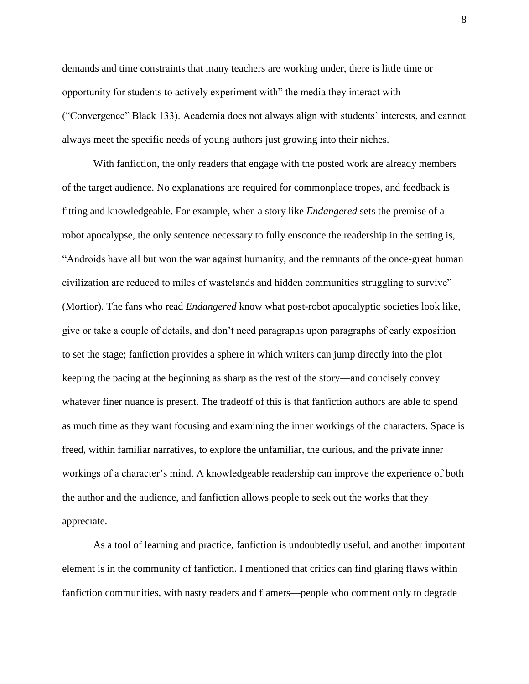demands and time constraints that many teachers are working under, there is little time or opportunity for students to actively experiment with" the media they interact with ("Convergence" Black 133). Academia does not always align with students' interests, and cannot always meet the specific needs of young authors just growing into their niches.

With fanfiction, the only readers that engage with the posted work are already members of the target audience. No explanations are required for commonplace tropes, and feedback is fitting and knowledgeable. For example, when a story like *Endangered* sets the premise of a robot apocalypse, the only sentence necessary to fully ensconce the readership in the setting is, "Androids have all but won the war against humanity, and the remnants of the once-great human civilization are reduced to miles of wastelands and hidden communities struggling to survive" (Mortior). The fans who read *Endangered* know what post-robot apocalyptic societies look like, give or take a couple of details, and don't need paragraphs upon paragraphs of early exposition to set the stage; fanfiction provides a sphere in which writers can jump directly into the plot keeping the pacing at the beginning as sharp as the rest of the story—and concisely convey whatever finer nuance is present. The tradeoff of this is that fanfiction authors are able to spend as much time as they want focusing and examining the inner workings of the characters. Space is freed, within familiar narratives, to explore the unfamiliar, the curious, and the private inner workings of a character's mind. A knowledgeable readership can improve the experience of both the author and the audience, and fanfiction allows people to seek out the works that they appreciate.

As a tool of learning and practice, fanfiction is undoubtedly useful, and another important element is in the community of fanfiction. I mentioned that critics can find glaring flaws within fanfiction communities, with nasty readers and flamers—people who comment only to degrade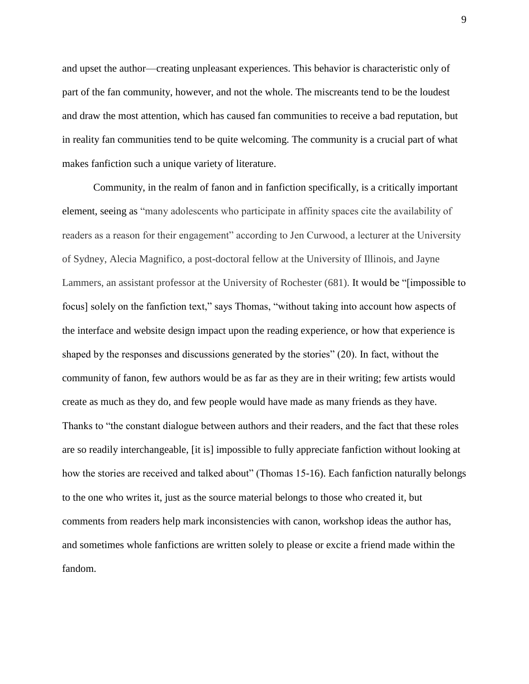and upset the author—creating unpleasant experiences. This behavior is characteristic only of part of the fan community, however, and not the whole. The miscreants tend to be the loudest and draw the most attention, which has caused fan communities to receive a bad reputation, but in reality fan communities tend to be quite welcoming. The community is a crucial part of what makes fanfiction such a unique variety of literature.

Community, in the realm of fanon and in fanfiction specifically, is a critically important element, seeing as "many adolescents who participate in affinity spaces cite the availability of readers as a reason for their engagement" according to Jen Curwood, a lecturer at the University of Sydney, Alecia Magnifico, a post-doctoral fellow at the University of Illinois, and Jayne Lammers, an assistant professor at the University of Rochester (681). It would be "[impossible to focus] solely on the fanfiction text," says Thomas, "without taking into account how aspects of the interface and website design impact upon the reading experience, or how that experience is shaped by the responses and discussions generated by the stories" (20). In fact, without the community of fanon, few authors would be as far as they are in their writing; few artists would create as much as they do, and few people would have made as many friends as they have. Thanks to "the constant dialogue between authors and their readers, and the fact that these roles are so readily interchangeable, [it is] impossible to fully appreciate fanfiction without looking at how the stories are received and talked about" (Thomas 15-16). Each fanfiction naturally belongs to the one who writes it, just as the source material belongs to those who created it, but comments from readers help mark inconsistencies with canon, workshop ideas the author has, and sometimes whole fanfictions are written solely to please or excite a friend made within the fandom.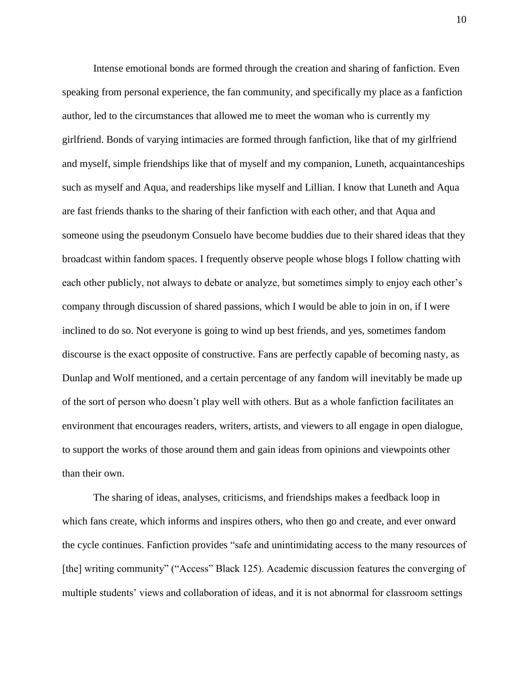Intense emotional bonds are formed through the creation and sharing of fanfiction. Even speaking from personal experience, the fan community, and specifically my place as a fanfiction author, led to the circumstances that allowed me to meet the woman who is currently my girlfriend. Bonds of varying intimacies are formed through fanfiction, like that of my girlfriend and myself, simple friendships like that of myself and my companion, Luneth, acquaintanceships such as myself and Aqua, and readerships like myself and Lillian. I know that Luneth and Aqua are fast friends thanks to the sharing of their fanfiction with each other, and that Aqua and someone using the pseudonym Consuelo have become buddies due to their shared ideas that they broadcast within fandom spaces. I frequently observe people whose blogs I follow chatting with each other publicly, not always to debate or analyze, but sometimes simply to enjoy each other's company through discussion of shared passions, which I would be able to join in on, if I were inclined to do so. Not everyone is going to wind up best friends, and yes, sometimes fandom discourse is the exact opposite of constructive. Fans are perfectly capable of becoming nasty, as Dunlap and Wolf mentioned, and a certain percentage of any fandom will inevitably be made up of the sort of person who doesn't play well with others. But as a whole fanfiction facilitates an environment that encourages readers, writers, artists, and viewers to all engage in open dialogue, to support the works of those around them and gain ideas from opinions and viewpoints other than their own.

The sharing of ideas, analyses, criticisms, and friendships makes a feedback loop in which fans create, which informs and inspires others, who then go and create, and ever onward the cycle continues. Fanfiction provides "safe and unintimidating access to the many resources of [the] writing community" ("Access" Black 125). Academic discussion features the converging of multiple students' views and collaboration of ideas, and it is not abnormal for classroom settings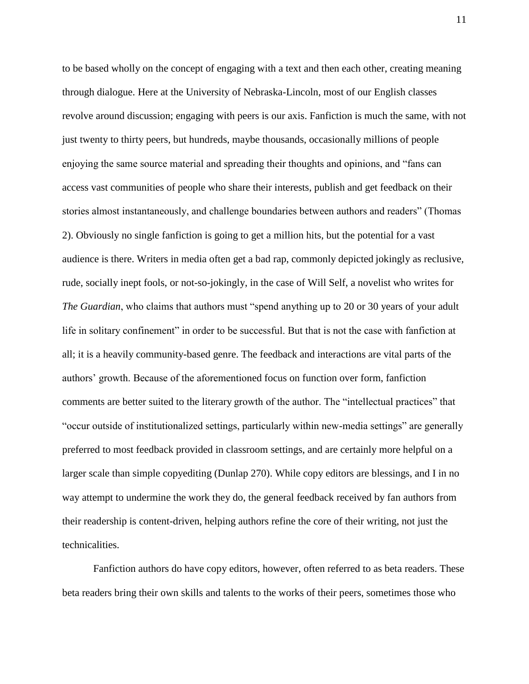to be based wholly on the concept of engaging with a text and then each other, creating meaning through dialogue. Here at the University of Nebraska-Lincoln, most of our English classes revolve around discussion; engaging with peers is our axis. Fanfiction is much the same, with not just twenty to thirty peers, but hundreds, maybe thousands, occasionally millions of people enjoying the same source material and spreading their thoughts and opinions, and "fans can access vast communities of people who share their interests, publish and get feedback on their stories almost instantaneously, and challenge boundaries between authors and readers" (Thomas 2). Obviously no single fanfiction is going to get a million hits, but the potential for a vast audience is there. Writers in media often get a bad rap, commonly depicted jokingly as reclusive, rude, socially inept fools, or not-so-jokingly, in the case of Will Self, a novelist who writes for *The Guardian*, who claims that authors must "spend anything up to 20 or 30 years of your adult life in solitary confinement" in order to be successful. But that is not the case with fanfiction at all; it is a heavily community-based genre. The feedback and interactions are vital parts of the authors' growth. Because of the aforementioned focus on function over form, fanfiction comments are better suited to the literary growth of the author. The "intellectual practices" that "occur outside of institutionalized settings, particularly within new-media settings" are generally preferred to most feedback provided in classroom settings, and are certainly more helpful on a larger scale than simple copyediting (Dunlap 270). While copy editors are blessings, and I in no way attempt to undermine the work they do, the general feedback received by fan authors from their readership is content-driven, helping authors refine the core of their writing, not just the technicalities.

Fanfiction authors do have copy editors, however, often referred to as beta readers. These beta readers bring their own skills and talents to the works of their peers, sometimes those who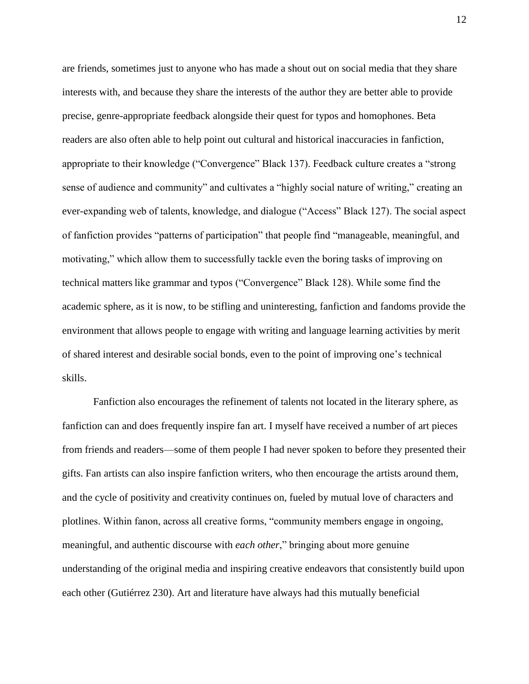are friends, sometimes just to anyone who has made a shout out on social media that they share interests with, and because they share the interests of the author they are better able to provide precise, genre-appropriate feedback alongside their quest for typos and homophones. Beta readers are also often able to help point out cultural and historical inaccuracies in fanfiction, appropriate to their knowledge ("Convergence" Black 137). Feedback culture creates a "strong sense of audience and community" and cultivates a "highly social nature of writing," creating an ever-expanding web of talents, knowledge, and dialogue ("Access" Black 127). The social aspect of fanfiction provides "patterns of participation" that people find "manageable, meaningful, and motivating," which allow them to successfully tackle even the boring tasks of improving on technical matters like grammar and typos ("Convergence" Black 128). While some find the academic sphere, as it is now, to be stifling and uninteresting, fanfiction and fandoms provide the environment that allows people to engage with writing and language learning activities by merit of shared interest and desirable social bonds, even to the point of improving one's technical skills.

Fanfiction also encourages the refinement of talents not located in the literary sphere, as fanfiction can and does frequently inspire fan art. I myself have received a number of art pieces from friends and readers—some of them people I had never spoken to before they presented their gifts. Fan artists can also inspire fanfiction writers, who then encourage the artists around them, and the cycle of positivity and creativity continues on, fueled by mutual love of characters and plotlines. Within fanon, across all creative forms, "community members engage in ongoing, meaningful, and authentic discourse with *each other*," bringing about more genuine understanding of the original media and inspiring creative endeavors that consistently build upon each other (Gutiérrez 230). Art and literature have always had this mutually beneficial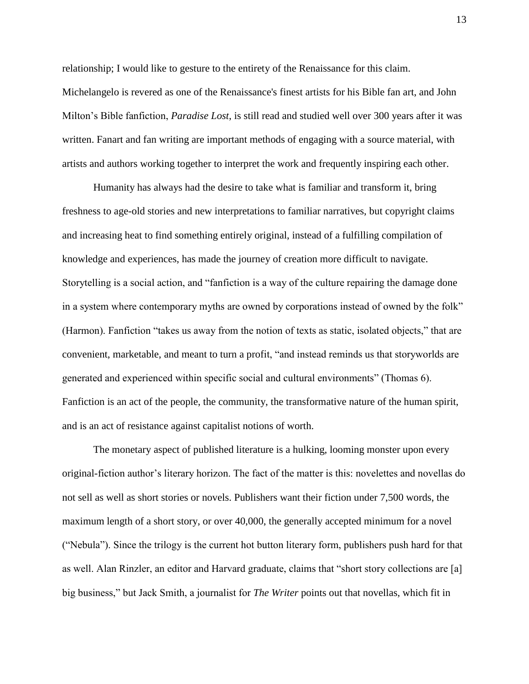relationship; I would like to gesture to the entirety of the Renaissance for this claim. Michelangelo is revered as one of the Renaissance's finest artists for his Bible fan art, and John Milton's Bible fanfiction, *Paradise Lost*, is still read and studied well over 300 years after it was written. Fanart and fan writing are important methods of engaging with a source material, with artists and authors working together to interpret the work and frequently inspiring each other.

Humanity has always had the desire to take what is familiar and transform it, bring freshness to age-old stories and new interpretations to familiar narratives, but copyright claims and increasing heat to find something entirely original, instead of a fulfilling compilation of knowledge and experiences, has made the journey of creation more difficult to navigate. Storytelling is a social action, and "fanfiction is a way of the culture repairing the damage done in a system where contemporary myths are owned by corporations instead of owned by the folk" (Harmon). Fanfiction "takes us away from the notion of texts as static, isolated objects," that are convenient, marketable, and meant to turn a profit, "and instead reminds us that storyworlds are generated and experienced within specific social and cultural environments" (Thomas 6). Fanfiction is an act of the people, the community, the transformative nature of the human spirit, and is an act of resistance against capitalist notions of worth.

The monetary aspect of published literature is a hulking, looming monster upon every original-fiction author's literary horizon. The fact of the matter is this: novelettes and novellas do not sell as well as short stories or novels. Publishers want their fiction under 7,500 words, the maximum length of a short story, or over 40,000, the generally accepted minimum for a novel ("Nebula"). Since the trilogy is the current hot button literary form, publishers push hard for that as well. Alan Rinzler, an editor and Harvard graduate, claims that "short story collections are [a] big business," but Jack Smith, a journalist for *The Writer* points out that novellas, which fit in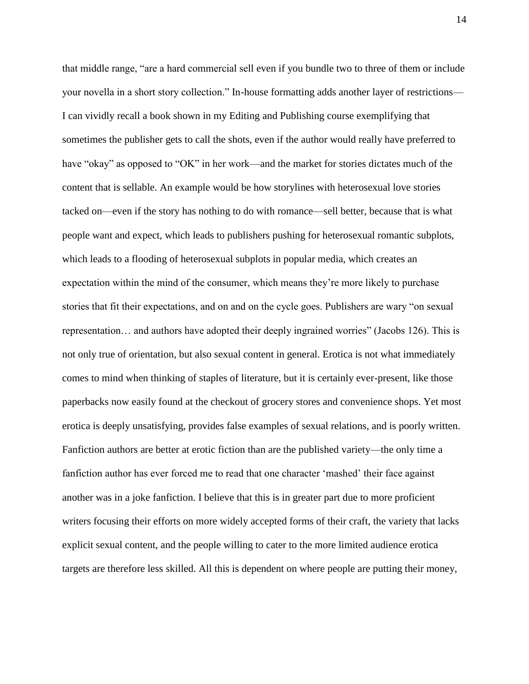that middle range, "are a hard commercial sell even if you bundle two to three of them or include your novella in a short story collection." In-house formatting adds another layer of restrictions— I can vividly recall a book shown in my Editing and Publishing course exemplifying that sometimes the publisher gets to call the shots, even if the author would really have preferred to have "okay" as opposed to "OK" in her work—and the market for stories dictates much of the content that is sellable. An example would be how storylines with heterosexual love stories tacked on—even if the story has nothing to do with romance—sell better, because that is what people want and expect, which leads to publishers pushing for heterosexual romantic subplots, which leads to a flooding of heterosexual subplots in popular media, which creates an expectation within the mind of the consumer, which means they're more likely to purchase stories that fit their expectations, and on and on the cycle goes. Publishers are wary "on sexual representation… and authors have adopted their deeply ingrained worries" (Jacobs 126). This is not only true of orientation, but also sexual content in general. Erotica is not what immediately comes to mind when thinking of staples of literature, but it is certainly ever-present, like those paperbacks now easily found at the checkout of grocery stores and convenience shops. Yet most erotica is deeply unsatisfying, provides false examples of sexual relations, and is poorly written. Fanfiction authors are better at erotic fiction than are the published variety—the only time a fanfiction author has ever forced me to read that one character 'mashed' their face against another was in a joke fanfiction. I believe that this is in greater part due to more proficient writers focusing their efforts on more widely accepted forms of their craft, the variety that lacks explicit sexual content, and the people willing to cater to the more limited audience erotica targets are therefore less skilled. All this is dependent on where people are putting their money,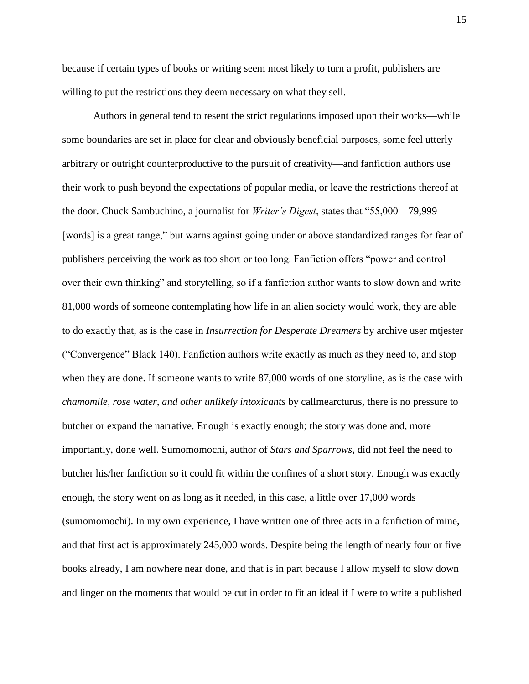because if certain types of books or writing seem most likely to turn a profit, publishers are willing to put the restrictions they deem necessary on what they sell.

Authors in general tend to resent the strict regulations imposed upon their works—while some boundaries are set in place for clear and obviously beneficial purposes, some feel utterly arbitrary or outright counterproductive to the pursuit of creativity—and fanfiction authors use their work to push beyond the expectations of popular media, or leave the restrictions thereof at the door. Chuck Sambuchino, a journalist for *Writer's Digest*, states that "55,000 – 79,999 [words] is a great range," but warns against going under or above standardized ranges for fear of publishers perceiving the work as too short or too long. Fanfiction offers "power and control over their own thinking" and storytelling, so if a fanfiction author wants to slow down and write 81,000 words of someone contemplating how life in an alien society would work, they are able to do exactly that, as is the case in *Insurrection for Desperate Dreamers* by archive user mtjester ("Convergence" Black 140). Fanfiction authors write exactly as much as they need to, and stop when they are done. If someone wants to write 87,000 words of one storyline, as is the case with *chamomile, rose water, and other unlikely intoxicants* by callmearcturus, there is no pressure to butcher or expand the narrative. Enough is exactly enough; the story was done and, more importantly, done well. Sumomomochi, author of *Stars and Sparrows,* did not feel the need to butcher his/her fanfiction so it could fit within the confines of a short story. Enough was exactly enough, the story went on as long as it needed, in this case, a little over 17,000 words (sumomomochi). In my own experience, I have written one of three acts in a fanfiction of mine, and that first act is approximately 245,000 words. Despite being the length of nearly four or five books already, I am nowhere near done, and that is in part because I allow myself to slow down and linger on the moments that would be cut in order to fit an ideal if I were to write a published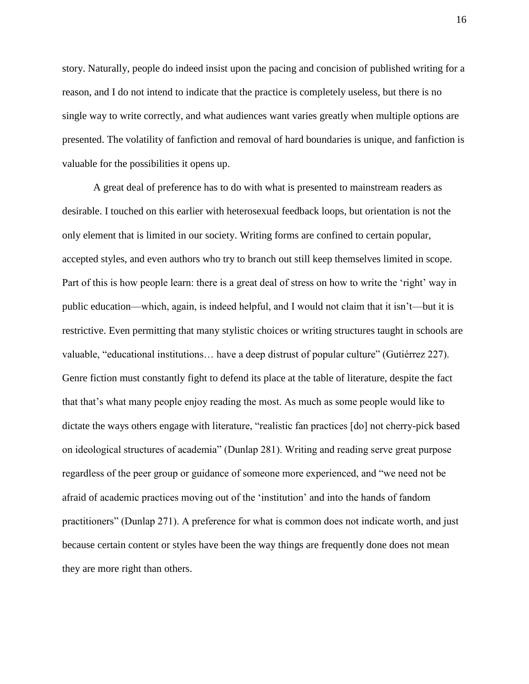story. Naturally, people do indeed insist upon the pacing and concision of published writing for a reason, and I do not intend to indicate that the practice is completely useless, but there is no single way to write correctly, and what audiences want varies greatly when multiple options are presented. The volatility of fanfiction and removal of hard boundaries is unique, and fanfiction is valuable for the possibilities it opens up.

A great deal of preference has to do with what is presented to mainstream readers as desirable. I touched on this earlier with heterosexual feedback loops, but orientation is not the only element that is limited in our society. Writing forms are confined to certain popular, accepted styles, and even authors who try to branch out still keep themselves limited in scope. Part of this is how people learn: there is a great deal of stress on how to write the 'right' way in public education—which, again, is indeed helpful, and I would not claim that it isn't—but it is restrictive. Even permitting that many stylistic choices or writing structures taught in schools are valuable, "educational institutions… have a deep distrust of popular culture" (Gutiérrez 227). Genre fiction must constantly fight to defend its place at the table of literature, despite the fact that that's what many people enjoy reading the most. As much as some people would like to dictate the ways others engage with literature, "realistic fan practices [do] not cherry-pick based on ideological structures of academia" (Dunlap 281). Writing and reading serve great purpose regardless of the peer group or guidance of someone more experienced, and "we need not be afraid of academic practices moving out of the 'institution' and into the hands of fandom practitioners" (Dunlap 271). A preference for what is common does not indicate worth, and just because certain content or styles have been the way things are frequently done does not mean they are more right than others.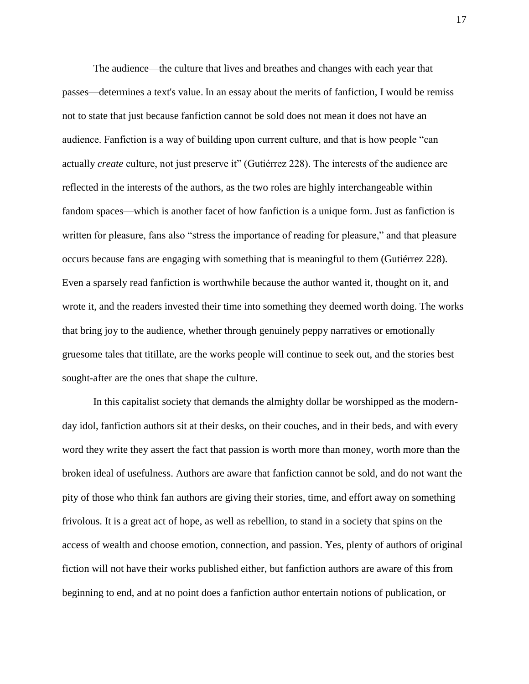The audience—the culture that lives and breathes and changes with each year that passes—determines a text's value. In an essay about the merits of fanfiction, I would be remiss not to state that just because fanfiction cannot be sold does not mean it does not have an audience. Fanfiction is a way of building upon current culture, and that is how people "can actually *create* culture, not just preserve it" (Gutiérrez 228). The interests of the audience are reflected in the interests of the authors, as the two roles are highly interchangeable within fandom spaces—which is another facet of how fanfiction is a unique form. Just as fanfiction is written for pleasure, fans also "stress the importance of reading for pleasure," and that pleasure occurs because fans are engaging with something that is meaningful to them (Gutiérrez 228). Even a sparsely read fanfiction is worthwhile because the author wanted it, thought on it, and wrote it, and the readers invested their time into something they deemed worth doing. The works that bring joy to the audience, whether through genuinely peppy narratives or emotionally gruesome tales that titillate, are the works people will continue to seek out, and the stories best sought-after are the ones that shape the culture.

In this capitalist society that demands the almighty dollar be worshipped as the modernday idol, fanfiction authors sit at their desks, on their couches, and in their beds, and with every word they write they assert the fact that passion is worth more than money, worth more than the broken ideal of usefulness. Authors are aware that fanfiction cannot be sold, and do not want the pity of those who think fan authors are giving their stories, time, and effort away on something frivolous. It is a great act of hope, as well as rebellion, to stand in a society that spins on the access of wealth and choose emotion, connection, and passion. Yes, plenty of authors of original fiction will not have their works published either, but fanfiction authors are aware of this from beginning to end, and at no point does a fanfiction author entertain notions of publication, or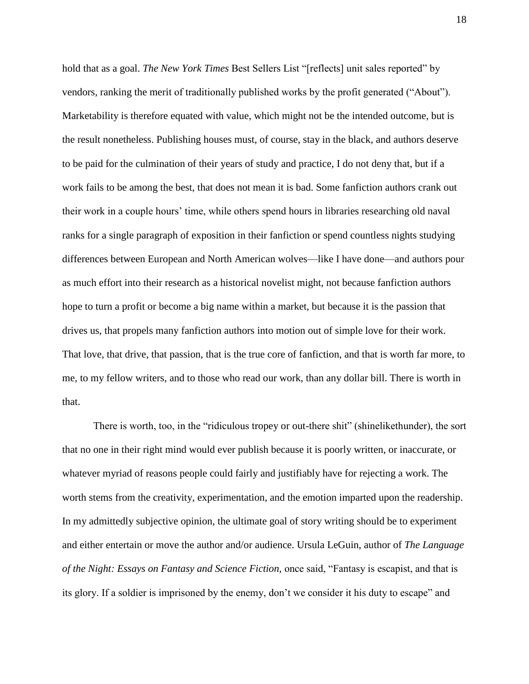hold that as a goal. *The New York Times* Best Sellers List "[reflects] unit sales reported" by vendors, ranking the merit of traditionally published works by the profit generated ("About"). Marketability is therefore equated with value, which might not be the intended outcome, but is the result nonetheless. Publishing houses must, of course, stay in the black, and authors deserve to be paid for the culmination of their years of study and practice, I do not deny that, but if a work fails to be among the best, that does not mean it is bad. Some fanfiction authors crank out their work in a couple hours' time, while others spend hours in libraries researching old naval ranks for a single paragraph of exposition in their fanfiction or spend countless nights studying differences between European and North American wolves—like I have done—and authors pour as much effort into their research as a historical novelist might, not because fanfiction authors hope to turn a profit or become a big name within a market, but because it is the passion that drives us, that propels many fanfiction authors into motion out of simple love for their work. That love, that drive, that passion, that is the true core of fanfiction, and that is worth far more, to me, to my fellow writers, and to those who read our work, than any dollar bill. There is worth in that.

There is worth, too, in the "ridiculous tropey or out-there shit" (shinelikethunder), the sort that no one in their right mind would ever publish because it is poorly written, or inaccurate, or whatever myriad of reasons people could fairly and justifiably have for rejecting a work. The worth stems from the creativity, experimentation, and the emotion imparted upon the readership. In my admittedly subjective opinion, the ultimate goal of story writing should be to experiment and either entertain or move the author and/or audience. Ursula LeGuin, author of *The Language of the Night: Essays on Fantasy and Science Fiction,* once said, "Fantasy is escapist, and that is its glory. If a soldier is imprisoned by the enemy, don't we consider it his duty to escape" and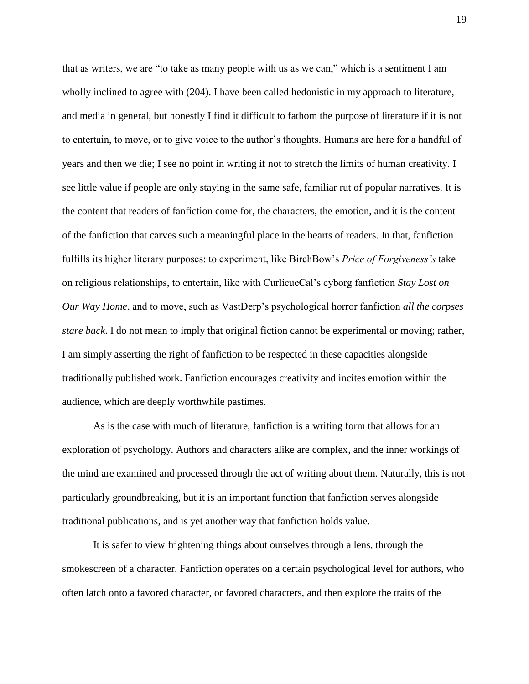that as writers, we are "to take as many people with us as we can," which is a sentiment I am wholly inclined to agree with (204). I have been called hedonistic in my approach to literature, and media in general, but honestly I find it difficult to fathom the purpose of literature if it is not to entertain, to move, or to give voice to the author's thoughts. Humans are here for a handful of years and then we die; I see no point in writing if not to stretch the limits of human creativity. I see little value if people are only staying in the same safe, familiar rut of popular narratives. It is the content that readers of fanfiction come for, the characters, the emotion, and it is the content of the fanfiction that carves such a meaningful place in the hearts of readers. In that, fanfiction fulfills its higher literary purposes: to experiment, like BirchBow's *Price of Forgiveness's* take on religious relationships, to entertain, like with CurlicueCal's cyborg fanfiction *Stay Lost on Our Way Home*, and to move, such as VastDerp's psychological horror fanfiction *all the corpses stare back*. I do not mean to imply that original fiction cannot be experimental or moving; rather, I am simply asserting the right of fanfiction to be respected in these capacities alongside traditionally published work. Fanfiction encourages creativity and incites emotion within the audience, which are deeply worthwhile pastimes.

As is the case with much of literature, fanfiction is a writing form that allows for an exploration of psychology. Authors and characters alike are complex, and the inner workings of the mind are examined and processed through the act of writing about them. Naturally, this is not particularly groundbreaking, but it is an important function that fanfiction serves alongside traditional publications, and is yet another way that fanfiction holds value.

It is safer to view frightening things about ourselves through a lens, through the smokescreen of a character. Fanfiction operates on a certain psychological level for authors, who often latch onto a favored character, or favored characters, and then explore the traits of the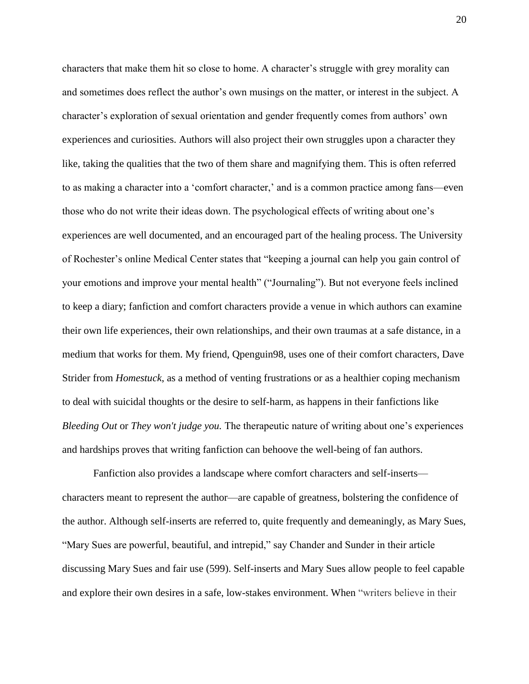characters that make them hit so close to home. A character's struggle with grey morality can and sometimes does reflect the author's own musings on the matter, or interest in the subject. A character's exploration of sexual orientation and gender frequently comes from authors' own experiences and curiosities. Authors will also project their own struggles upon a character they like, taking the qualities that the two of them share and magnifying them. This is often referred to as making a character into a 'comfort character,' and is a common practice among fans—even those who do not write their ideas down. The psychological effects of writing about one's experiences are well documented, and an encouraged part of the healing process. The University of Rochester's online Medical Center states that "keeping a journal can help you gain control of your emotions and improve your mental health" ("Journaling"). But not everyone feels inclined to keep a diary; fanfiction and comfort characters provide a venue in which authors can examine their own life experiences, their own relationships, and their own traumas at a safe distance, in a medium that works for them. My friend, Qpenguin98, uses one of their comfort characters, Dave Strider from *Homestuck*, as a method of venting frustrations or as a healthier coping mechanism to deal with suicidal thoughts or the desire to self-harm, as happens in their fanfictions like *Bleeding Out* or *They won't judge you.* The therapeutic nature of writing about one's experiences and hardships proves that writing fanfiction can behoove the well-being of fan authors.

Fanfiction also provides a landscape where comfort characters and self-inserts characters meant to represent the author—are capable of greatness, bolstering the confidence of the author. Although self-inserts are referred to, quite frequently and demeaningly, as Mary Sues, "Mary Sues are powerful, beautiful, and intrepid," say Chander and Sunder in their article discussing Mary Sues and fair use (599). Self-inserts and Mary Sues allow people to feel capable and explore their own desires in a safe, low-stakes environment. When "writers believe in their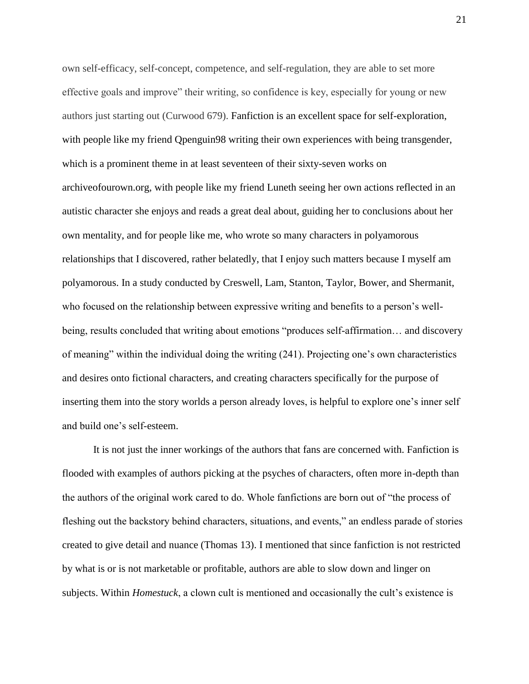own self-efficacy, self-concept, competence, and self-regulation, they are able to set more effective goals and improve" their writing, so confidence is key, especially for young or new authors just starting out (Curwood 679). Fanfiction is an excellent space for self-exploration, with people like my friend Openguin98 writing their own experiences with being transgender, which is a prominent theme in at least seventeen of their sixty-seven works on archiveofourown.org, with people like my friend Luneth seeing her own actions reflected in an autistic character she enjoys and reads a great deal about, guiding her to conclusions about her own mentality, and for people like me, who wrote so many characters in polyamorous relationships that I discovered, rather belatedly, that I enjoy such matters because I myself am polyamorous. In a study conducted by Creswell, Lam, Stanton, Taylor, Bower, and Shermanit, who focused on the relationship between expressive writing and benefits to a person's wellbeing, results concluded that writing about emotions "produces self-affirmation… and discovery of meaning" within the individual doing the writing (241). Projecting one's own characteristics and desires onto fictional characters, and creating characters specifically for the purpose of inserting them into the story worlds a person already loves, is helpful to explore one's inner self and build one's self-esteem.

It is not just the inner workings of the authors that fans are concerned with. Fanfiction is flooded with examples of authors picking at the psyches of characters, often more in-depth than the authors of the original work cared to do. Whole fanfictions are born out of "the process of fleshing out the backstory behind characters, situations, and events," an endless parade of stories created to give detail and nuance (Thomas 13). I mentioned that since fanfiction is not restricted by what is or is not marketable or profitable, authors are able to slow down and linger on subjects. Within *Homestuck*, a clown cult is mentioned and occasionally the cult's existence is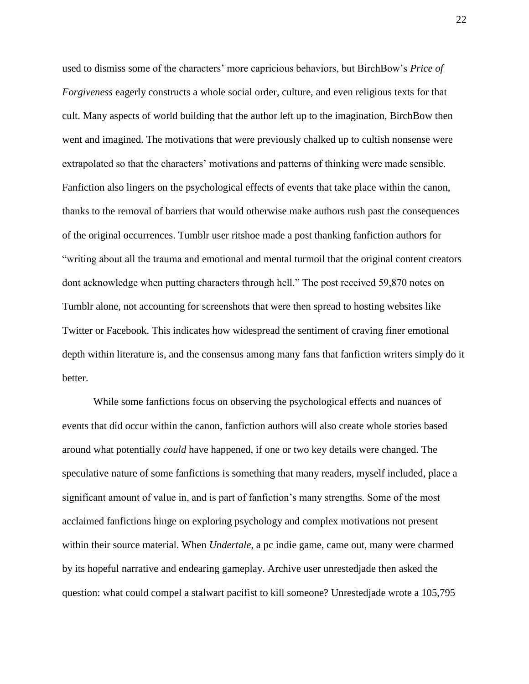used to dismiss some of the characters' more capricious behaviors, but BirchBow's *Price of Forgiveness* eagerly constructs a whole social order, culture, and even religious texts for that cult. Many aspects of world building that the author left up to the imagination, BirchBow then went and imagined. The motivations that were previously chalked up to cultish nonsense were extrapolated so that the characters' motivations and patterns of thinking were made sensible. Fanfiction also lingers on the psychological effects of events that take place within the canon, thanks to the removal of barriers that would otherwise make authors rush past the consequences of the original occurrences. Tumblr user ritshoe made a post thanking fanfiction authors for "writing about all the trauma and emotional and mental turmoil that the original content creators dont acknowledge when putting characters through hell." The post received 59,870 notes on Tumblr alone, not accounting for screenshots that were then spread to hosting websites like Twitter or Facebook. This indicates how widespread the sentiment of craving finer emotional depth within literature is, and the consensus among many fans that fanfiction writers simply do it better.

While some fanfictions focus on observing the psychological effects and nuances of events that did occur within the canon, fanfiction authors will also create whole stories based around what potentially *could* have happened, if one or two key details were changed. The speculative nature of some fanfictions is something that many readers, myself included, place a significant amount of value in, and is part of fanfiction's many strengths. Some of the most acclaimed fanfictions hinge on exploring psychology and complex motivations not present within their source material. When *Undertale*, a pc indie game, came out, many were charmed by its hopeful narrative and endearing gameplay. Archive user unrestedjade then asked the question: what could compel a stalwart pacifist to kill someone? Unrestedjade wrote a 105,795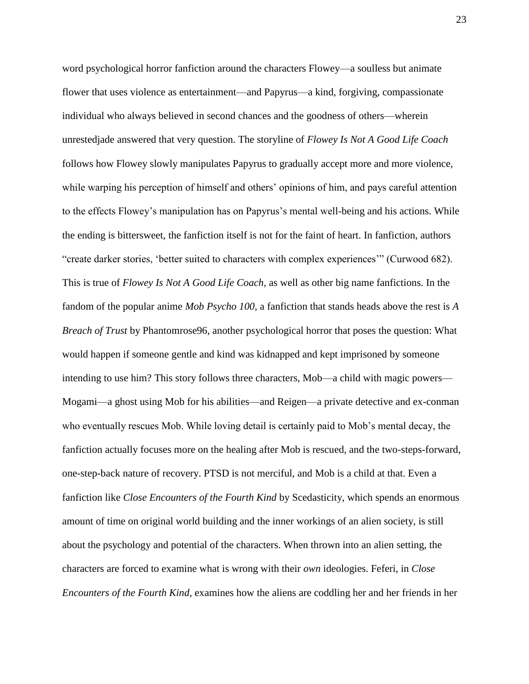word psychological horror fanfiction around the characters Flowey—a soulless but animate flower that uses violence as entertainment—and Papyrus—a kind, forgiving, compassionate individual who always believed in second chances and the goodness of others—wherein unrestedjade answered that very question. The storyline of *Flowey Is Not A Good Life Coach* follows how Flowey slowly manipulates Papyrus to gradually accept more and more violence, while warping his perception of himself and others' opinions of him, and pays careful attention to the effects Flowey's manipulation has on Papyrus's mental well-being and his actions. While the ending is bittersweet, the fanfiction itself is not for the faint of heart. In fanfiction, authors "create darker stories, 'better suited to characters with complex experiences'" (Curwood 682). This is true of *Flowey Is Not A Good Life Coach,* as well as other big name fanfictions. In the fandom of the popular anime *Mob Psycho 100*, a fanfiction that stands heads above the rest is *A Breach of Trust* by Phantomrose96, another psychological horror that poses the question: What would happen if someone gentle and kind was kidnapped and kept imprisoned by someone intending to use him? This story follows three characters, Mob—a child with magic powers— Mogami—a ghost using Mob for his abilities—and Reigen—a private detective and ex-conman who eventually rescues Mob. While loving detail is certainly paid to Mob's mental decay, the fanfiction actually focuses more on the healing after Mob is rescued, and the two-steps-forward, one-step-back nature of recovery. PTSD is not merciful, and Mob is a child at that. Even a fanfiction like *Close Encounters of the Fourth Kind* by Scedasticity, which spends an enormous amount of time on original world building and the inner workings of an alien society, is still about the psychology and potential of the characters. When thrown into an alien setting, the characters are forced to examine what is wrong with their *own* ideologies. Feferi, in *Close Encounters of the Fourth Kind*, examines how the aliens are coddling her and her friends in her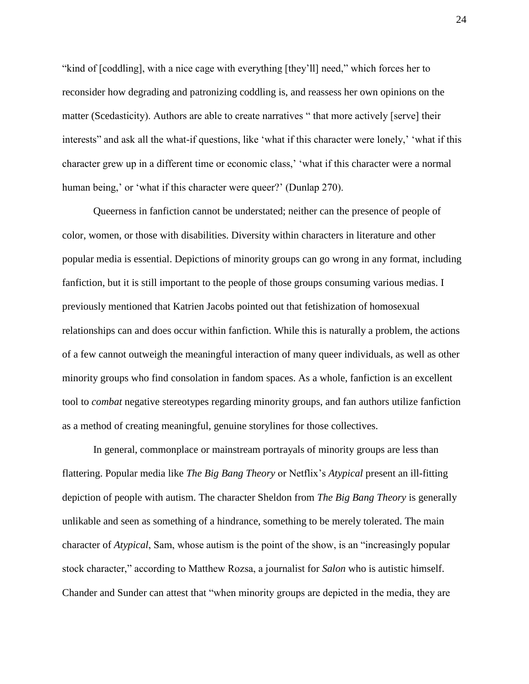"kind of [coddling], with a nice cage with everything [they'll] need," which forces her to reconsider how degrading and patronizing coddling is, and reassess her own opinions on the matter (Scedasticity). Authors are able to create narratives " that more actively [serve] their interests" and ask all the what-if questions, like 'what if this character were lonely,' 'what if this character grew up in a different time or economic class,' 'what if this character were a normal human being,' or 'what if this character were queer?' (Dunlap 270).

Queerness in fanfiction cannot be understated; neither can the presence of people of color, women, or those with disabilities. Diversity within characters in literature and other popular media is essential. Depictions of minority groups can go wrong in any format, including fanfiction, but it is still important to the people of those groups consuming various medias. I previously mentioned that Katrien Jacobs pointed out that fetishization of homosexual relationships can and does occur within fanfiction. While this is naturally a problem, the actions of a few cannot outweigh the meaningful interaction of many queer individuals, as well as other minority groups who find consolation in fandom spaces. As a whole, fanfiction is an excellent tool to *combat* negative stereotypes regarding minority groups, and fan authors utilize fanfiction as a method of creating meaningful, genuine storylines for those collectives.

In general, commonplace or mainstream portrayals of minority groups are less than flattering. Popular media like *The Big Bang Theory* or Netflix's *Atypical* present an ill-fitting depiction of people with autism. The character Sheldon from *The Big Bang Theory* is generally unlikable and seen as something of a hindrance, something to be merely tolerated. The main character of *Atypical*, Sam, whose autism is the point of the show, is an "increasingly popular stock character," according to Matthew Rozsa, a journalist for *Salon* who is autistic himself. Chander and Sunder can attest that "when minority groups are depicted in the media, they are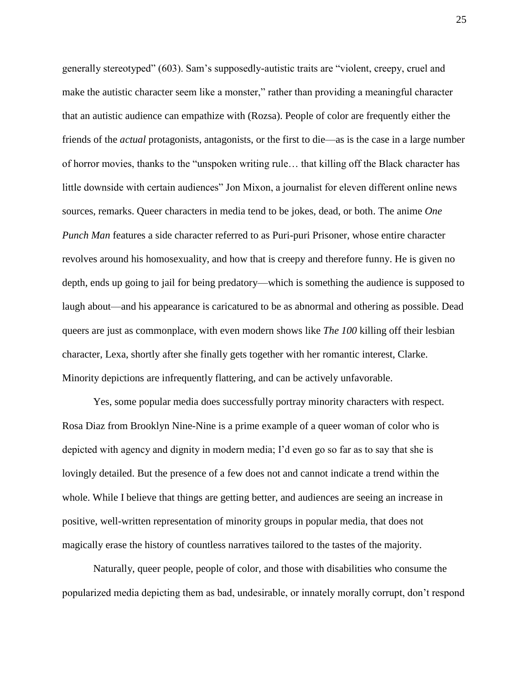generally stereotyped" (603). Sam's supposedly-autistic traits are "violent, creepy, cruel and make the autistic character seem like a monster," rather than providing a meaningful character that an autistic audience can empathize with (Rozsa). People of color are frequently either the friends of the *actual* protagonists, antagonists, or the first to die—as is the case in a large number of horror movies, thanks to the "unspoken writing rule… that killing off the Black character has little downside with certain audiences" Jon Mixon, a journalist for eleven different online news sources, remarks. Queer characters in media tend to be jokes, dead, or both. The anime *One Punch Man* features a side character referred to as Puri-puri Prisoner, whose entire character revolves around his homosexuality, and how that is creepy and therefore funny. He is given no depth, ends up going to jail for being predatory—which is something the audience is supposed to laugh about—and his appearance is caricatured to be as abnormal and othering as possible. Dead queers are just as commonplace, with even modern shows like *The 100* killing off their lesbian character, Lexa, shortly after she finally gets together with her romantic interest, Clarke. Minority depictions are infrequently flattering, and can be actively unfavorable.

Yes, some popular media does successfully portray minority characters with respect. Rosa Diaz from Brooklyn Nine-Nine is a prime example of a queer woman of color who is depicted with agency and dignity in modern media; I'd even go so far as to say that she is lovingly detailed. But the presence of a few does not and cannot indicate a trend within the whole. While I believe that things are getting better, and audiences are seeing an increase in positive, well-written representation of minority groups in popular media, that does not magically erase the history of countless narratives tailored to the tastes of the majority.

Naturally, queer people, people of color, and those with disabilities who consume the popularized media depicting them as bad, undesirable, or innately morally corrupt, don't respond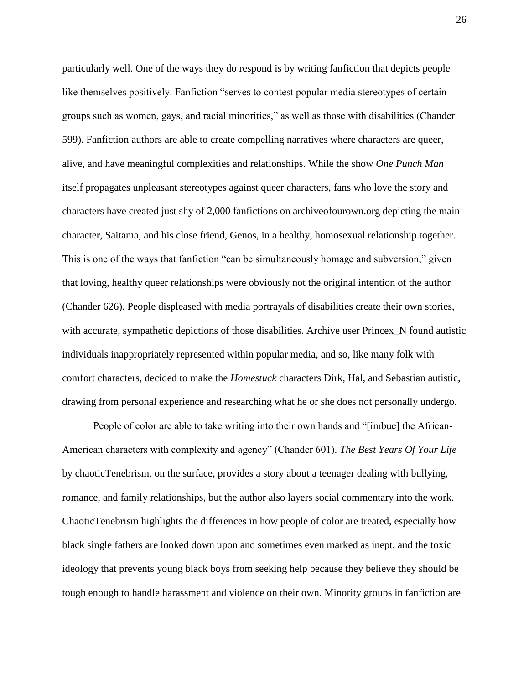particularly well. One of the ways they do respond is by writing fanfiction that depicts people like themselves positively. Fanfiction "serves to contest popular media stereotypes of certain groups such as women, gays, and racial minorities," as well as those with disabilities (Chander 599). Fanfiction authors are able to create compelling narratives where characters are queer, alive, and have meaningful complexities and relationships. While the show *One Punch Man* itself propagates unpleasant stereotypes against queer characters, fans who love the story and characters have created just shy of 2,000 fanfictions on archiveofourown.org depicting the main character, Saitama, and his close friend, Genos, in a healthy, homosexual relationship together. This is one of the ways that fanfiction "can be simultaneously homage and subversion," given that loving, healthy queer relationships were obviously not the original intention of the author (Chander 626). People displeased with media portrayals of disabilities create their own stories, with accurate, sympathetic depictions of those disabilities. Archive user Princex\_N found autistic individuals inappropriately represented within popular media, and so, like many folk with comfort characters, decided to make the *Homestuck* characters Dirk, Hal, and Sebastian autistic, drawing from personal experience and researching what he or she does not personally undergo.

People of color are able to take writing into their own hands and "[imbue] the African-American characters with complexity and agency" (Chander 601). *The Best Years Of Your Life* by chaoticTenebrism, on the surface, provides a story about a teenager dealing with bullying, romance, and family relationships, but the author also layers social commentary into the work. ChaoticTenebrism highlights the differences in how people of color are treated, especially how black single fathers are looked down upon and sometimes even marked as inept, and the toxic ideology that prevents young black boys from seeking help because they believe they should be tough enough to handle harassment and violence on their own. Minority groups in fanfiction are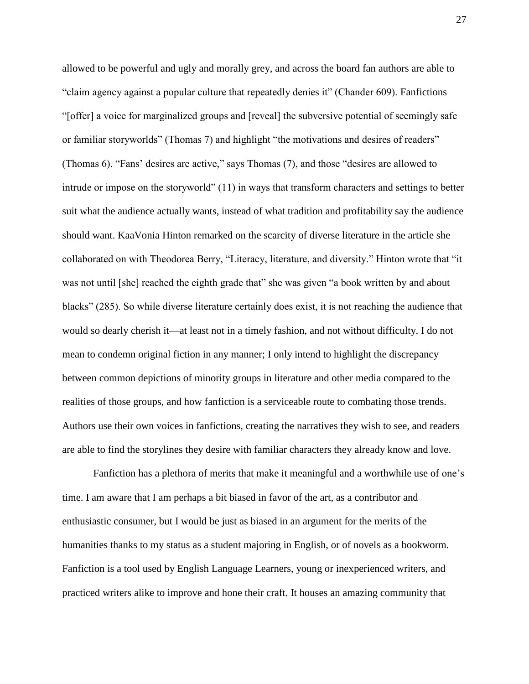allowed to be powerful and ugly and morally grey, and across the board fan authors are able to "claim agency against a popular culture that repeatedly denies it" (Chander 609). Fanfictions "[offer] a voice for marginalized groups and [reveal] the subversive potential of seemingly safe or familiar storyworlds" (Thomas 7) and highlight "the motivations and desires of readers" (Thomas 6). "Fans' desires are active," says Thomas (7), and those "desires are allowed to intrude or impose on the storyworld" (11) in ways that transform characters and settings to better suit what the audience actually wants, instead of what tradition and profitability say the audience should want. KaaVonia Hinton remarked on the scarcity of diverse literature in the article she collaborated on with Theodorea Berry, "Literacy, literature, and diversity." Hinton wrote that "it was not until [she] reached the eighth grade that" she was given "a book written by and about blacks" (285). So while diverse literature certainly does exist, it is not reaching the audience that would so dearly cherish it—at least not in a timely fashion, and not without difficulty. I do not mean to condemn original fiction in any manner; I only intend to highlight the discrepancy between common depictions of minority groups in literature and other media compared to the realities of those groups, and how fanfiction is a serviceable route to combating those trends. Authors use their own voices in fanfictions, creating the narratives they wish to see, and readers are able to find the storylines they desire with familiar characters they already know and love.

Fanfiction has a plethora of merits that make it meaningful and a worthwhile use of one's time. I am aware that I am perhaps a bit biased in favor of the art, as a contributor and enthusiastic consumer, but I would be just as biased in an argument for the merits of the humanities thanks to my status as a student majoring in English, or of novels as a bookworm. Fanfiction is a tool used by English Language Learners, young or inexperienced writers, and practiced writers alike to improve and hone their craft. It houses an amazing community that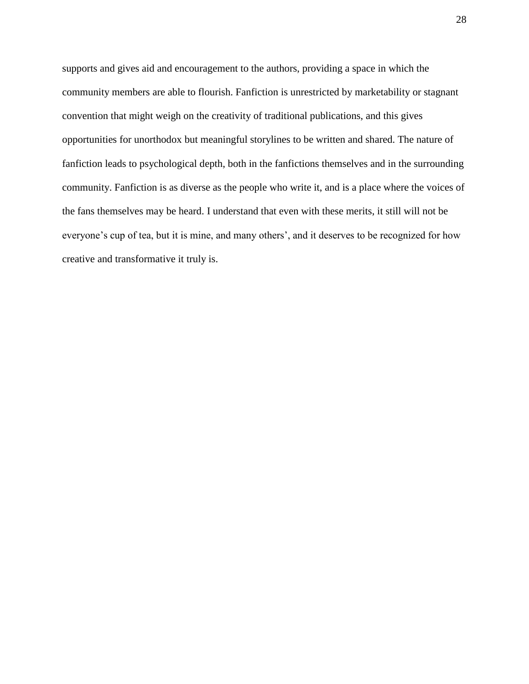supports and gives aid and encouragement to the authors, providing a space in which the community members are able to flourish. Fanfiction is unrestricted by marketability or stagnant convention that might weigh on the creativity of traditional publications, and this gives opportunities for unorthodox but meaningful storylines to be written and shared. The nature of fanfiction leads to psychological depth, both in the fanfictions themselves and in the surrounding community. Fanfiction is as diverse as the people who write it, and is a place where the voices of the fans themselves may be heard. I understand that even with these merits, it still will not be everyone's cup of tea, but it is mine, and many others', and it deserves to be recognized for how creative and transformative it truly is.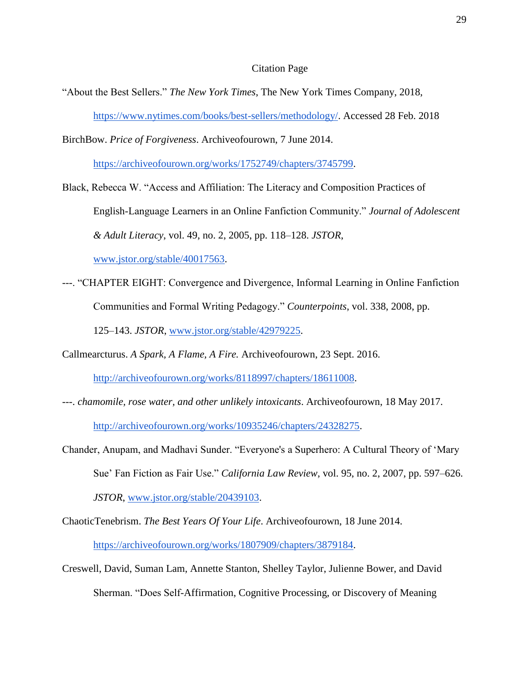#### Citation Page

"About the Best Sellers." *The New York Times*, The New York Times Company, 2018,

[https://www.nytimes.com/books/best-sellers/methodology/.](https://www.nytimes.com/books/best-sellers/methodology/) Accessed 28 Feb. 2018

BirchBow. *Price of Forgiveness*. Archiveofourown, 7 June 2014.

[https://archiveofourown.org/works/1752749/chapters/3745799.](https://archiveofourown.org/works/1752749/chapters/3745799)

Black, Rebecca W. "Access and Affiliation: The Literacy and Composition Practices of English-Language Learners in an Online Fanfiction Community." *Journal of Adolescent & Adult Literacy*, vol. 49, no. 2, 2005, pp. 118–128. *JSTOR*,

[www.jstor.org/stable/40017563.](http://www.jstor.org/stable/40017563)

---. "CHAPTER EIGHT: Convergence and Divergence, Informal Learning in Online Fanfiction Communities and Formal Writing Pedagogy." *Counterpoints*, vol. 338, 2008, pp. 125–143. *JSTOR*, [www.jstor.org/stable/42979225.](http://www.jstor.org/stable/42979225)

Callmearcturus. *A Spark, A Flame, A Fire.* Archiveofourown, 23 Sept. 2016.

[http://archiveofourown.org/works/8118997/chapters/18611008.](http://archiveofourown.org/works/8118997/chapters/18611008)

---. *chamomile, rose water, and other unlikely intoxicants*. Archiveofourown, 18 May 2017.

[http://archiveofourown.org/works/10935246/chapters/24328275.](http://archiveofourown.org/works/10935246/chapters/24328275)

- Chander, Anupam, and Madhavi Sunder. "Everyone's a Superhero: A Cultural Theory of 'Mary Sue' Fan Fiction as Fair Use." *California Law Review*, vol. 95, no. 2, 2007, pp. 597–626. *JSTOR*, [www.jstor.org/stable/20439103.](http://www.jstor.org/stable/20439103)
- ChaoticTenebrism. *The Best Years Of Your Life*. Archiveofourown, 18 June 2014. [https://archiveofourown.org/works/1807909/chapters/3879184.](https://archiveofourown.org/works/1807909/chapters/3879184)
- Creswell, David, Suman Lam, Annette Stanton, Shelley Taylor, Julienne Bower, and David Sherman. "Does Self-Affirmation, Cognitive Processing, or Discovery of Meaning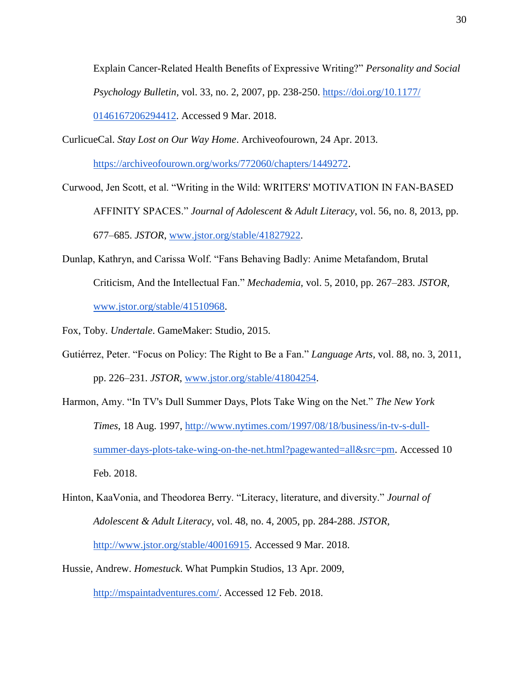Explain Cancer-Related Health Benefits of Expressive Writing?" *Personality and Social Psychology Bulletin,* vol. 33, no. 2, 2007, pp. 238-250. [https://doi.org/10.1177/](https://doi.org/10.1177/0146167206294412) [0146167206294412.](https://doi.org/10.1177/0146167206294412) Accessed 9 Mar. 2018.

- CurlicueCal. *Stay Lost on Our Way Home*. Archiveofourown, 24 Apr. 2013. [https://archiveofourown.org/works/772060/chapters/1449272.](https://archiveofourown.org/works/772060/chapters/1449272)
- Curwood, Jen Scott, et al. "Writing in the Wild: WRITERS' MOTIVATION IN FAN-BASED AFFINITY SPACES." *Journal of Adolescent & Adult Literacy*, vol. 56, no. 8, 2013, pp. 677–685. *JSTOR*, [www.jstor.org/stable/41827922.](http://www.jstor.org/stable/41827922)
- Dunlap, Kathryn, and Carissa Wolf. "Fans Behaving Badly: Anime Metafandom, Brutal Criticism, And the Intellectual Fan." *Mechademia*, vol. 5, 2010, pp. 267–283. *JSTOR*, [www.jstor.org/stable/41510968.](http://www.jstor.org/stable/41510968)

Fox, Toby. *Undertale*. GameMaker: Studio, 2015.

- Gutiérrez, Peter. "Focus on Policy: The Right to Be a Fan." *Language Arts,* vol. 88, no. 3, 2011, pp. 226–231. *JSTOR*, [www.jstor.org/stable/41804254.](http://www.jstor.org/stable/41804254)
- Harmon, Amy. "In TV's Dull Summer Days, Plots Take Wing on the Net." *The New York Times*, 18 Aug. 1997, [http://www.nytimes.com/1997/08/18/business/in-tv-s-dull](http://www.nytimes.com/1997/08/18/business/in-tv-s-dull-summer-days-plots-take-wing-on-the-net.html?pagewanted=all&src=pm)[summer-days-plots-take-wing-on-the-net.html?pagewanted=all&src=pm.](http://www.nytimes.com/1997/08/18/business/in-tv-s-dull-summer-days-plots-take-wing-on-the-net.html?pagewanted=all&src=pm) Accessed 10 Feb. 2018.
- Hinton, KaaVonia, and Theodorea Berry. "Literacy, literature, and diversity." *Journal of Adolescent & Adult Literacy*, vol. 48, no. 4, 2005, pp. 284-288. *JSTOR,* [http://www.jstor.org/stable/40016915.](http://www.jstor.org/stable/40016915) Accessed 9 Mar. 2018.
- Hussie, Andrew. *Homestuck*. What Pumpkin Studios, 13 Apr. 2009, [http://mspaintadventures.com/.](http://mspaintadventures.com/) Accessed 12 Feb. 2018.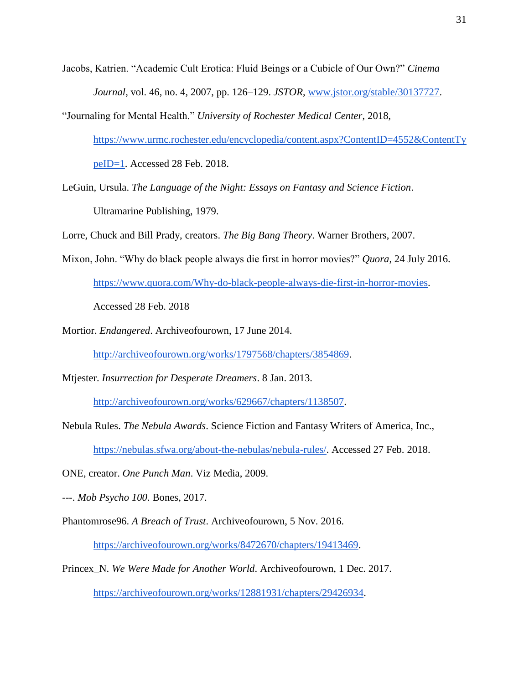- Jacobs, Katrien. "Academic Cult Erotica: Fluid Beings or a Cubicle of Our Own?" *Cinema Journal*, vol. 46, no. 4, 2007, pp. 126–129. *JSTOR*, [www.jstor.org/stable/30137727.](http://www.jstor.org/stable/30137727)
- "Journaling for Mental Health." *University of Rochester Medical Center*, 2018, [https://www.urmc.rochester.edu/encyclopedia/content.aspx?ContentID=4552&ContentTy](https://www.urmc.rochester.edu/encyclopedia/content.aspx?ContentID=4552&ContentTypeID=1) [peID=1.](https://www.urmc.rochester.edu/encyclopedia/content.aspx?ContentID=4552&ContentTypeID=1) Accessed 28 Feb. 2018.
- LeGuin, Ursula. *The Language of the Night: Essays on Fantasy and Science Fiction*. Ultramarine Publishing, 1979.
- Lorre, Chuck and Bill Prady, creators. *The Big Bang Theory*. Warner Brothers, 2007.
- Mixon, John. "Why do black people always die first in horror movies?" *Quora*, 24 July 2016.

[https://www.quora.com/Why-do-black-people-always-die-first-in-horror-movies.](https://www.quora.com/Why-do-black-people-always-die-first-in-horror-movies)

Accessed 28 Feb. 2018

Mortior. *Endangered*. Archiveofourown, 17 June 2014.

[http://archiveofourown.org/works/1797568/chapters/3854869.](http://archiveofourown.org/works/1797568/chapters/3854869)

Mtjester. *Insurrection for Desperate Dreamers*. 8 Jan. 2013.

[http://archiveofourown.org/works/629667/chapters/1138507.](http://archiveofourown.org/works/629667/chapters/1138507)

- Nebula Rules. *The Nebula Awards*. Science Fiction and Fantasy Writers of America, Inc., [https://nebulas.sfwa.org/about-the-nebulas/nebula-rules/.](https://nebulas.sfwa.org/about-the-nebulas/nebula-rules/) Accessed 27 Feb. 2018.
- ONE, creator. *One Punch Man*. Viz Media, 2009.
- ---. *Mob Psycho 100*. Bones, 2017.
- Phantomrose96. *A Breach of Trust*. Archiveofourown, 5 Nov. 2016.

[https://archiveofourown.org/works/8472670/chapters/19413469.](https://archiveofourown.org/works/8472670/chapters/19413469)

Princex\_N. *We Were Made for Another World*. Archiveofourown, 1 Dec. 2017.

[https://archiveofourown.org/works/12881931/chapters/29426934.](https://archiveofourown.org/works/12881931/chapters/29426934)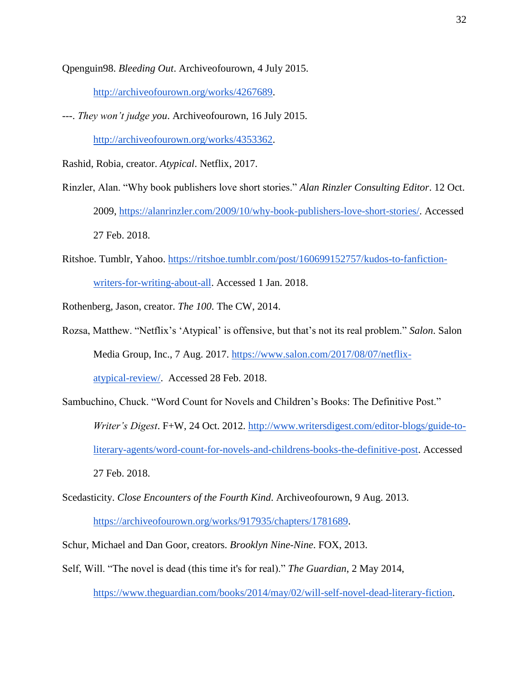Qpenguin98. *Bleeding Out*. Archiveofourown, 4 July 2015.

[http://archiveofourown.org/works/4267689.](http://archiveofourown.org/works/4267689)

---. *They won't judge you*. Archiveofourown, 16 July 2015.

[http://archiveofourown.org/works/4353362.](http://archiveofourown.org/works/4353362)

Rashid, Robia, creator. *Atypical*. Netflix, 2017.

- Rinzler, Alan. "Why book publishers love short stories." *Alan Rinzler Consulting Editor*. 12 Oct. 2009, [https://alanrinzler.com/2009/10/why-book-publishers-love-short-stories/.](https://alanrinzler.com/2009/10/why-book-publishers-love-short-stories/) Accessed 27 Feb. 2018.
- Ritshoe. Tumblr, Yahoo. [https://ritshoe.tumblr.com/post/160699152757/kudos-to-fanfiction](https://ritshoe.tumblr.com/post/160699152757/kudos-to-fanfiction-writers-for-writing-about-all)[writers-for-writing-about-all.](https://ritshoe.tumblr.com/post/160699152757/kudos-to-fanfiction-writers-for-writing-about-all) Accessed 1 Jan. 2018.

Rothenberg, Jason, creator. *The 100*. The CW, 2014.

- Rozsa, Matthew. "Netflix's 'Atypical' is offensive, but that's not its real problem." *Salon*. Salon Media Group, Inc., 7 Aug. 2017. [https://www.salon.com/2017/08/07/netflix](https://www.salon.com/2017/08/07/netflix-atypical-review/)[atypical-review/.](https://www.salon.com/2017/08/07/netflix-atypical-review/) Accessed 28 Feb. 2018.
- Sambuchino, Chuck. "Word Count for Novels and Children's Books: The Definitive Post." *Writer's Digest*. F+W, 24 Oct. 2012. [http://www.writersdigest.com/editor-blogs/guide-to](http://www.writersdigest.com/editor-blogs/guide-to-literary-agents/word-count-for-novels-and-childrens-books-the-definitive-post)[literary-agents/word-count-for-novels-and-childrens-books-the-definitive-post.](http://www.writersdigest.com/editor-blogs/guide-to-literary-agents/word-count-for-novels-and-childrens-books-the-definitive-post) Accessed 27 Feb. 2018.
- Scedasticity. *Close Encounters of the Fourth Kind*. Archiveofourown, 9 Aug. 2013. [https://archiveofourown.org/works/917935/chapters/1781689.](https://archiveofourown.org/works/917935/chapters/1781689)
- Schur, Michael and Dan Goor, creators. *Brooklyn Nine-Nine*. FOX, 2013.
- Self, Will. "The novel is dead (this time it's for real)." *The Guardian*, 2 May 2014, [https://www.theguardian.com/books/2014/may/02/will-self-novel-dead-literary-fiction.](https://www.theguardian.com/books/2014/may/02/will-self-novel-dead-literary-fiction)

32